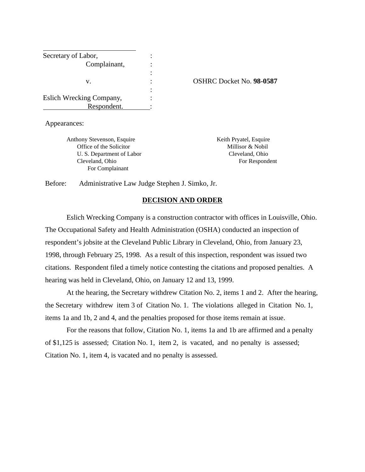| Secretary of Labor,      |                                 |
|--------------------------|---------------------------------|
| Complainant,             |                                 |
|                          |                                 |
| v.                       | <b>OSHRC Docket No. 98-0587</b> |
|                          |                                 |
| Eslich Wrecking Company, |                                 |
| Respondent.              |                                 |

Appearances:

Anthony Stevenson, Esquire Keith Pryatel, Esquire Office of the Solicitor Millisor & Nobil U. S. Department of Labor Cleveland, Ohio Cleveland, Ohio For Respondent For Complainant

Before: Administrative Law Judge Stephen J. Simko, Jr.

### **DECISION AND ORDER**

 Eslich Wrecking Company is a construction contractor with offices in Louisville, Ohio. The Occupational Safety and Health Administration (OSHA) conducted an inspection of respondent's jobsite at the Cleveland Public Library in Cleveland, Ohio, from January 23, 1998, through February 25, 1998. As a result of this inspection, respondent was issued two citations. Respondent filed a timely notice contesting the citations and proposed penalties. A hearing was held in Cleveland, Ohio, on January 12 and 13, 1999.

At the hearing, the Secretary withdrew Citation No. 2, items 1 and 2. After the hearing, the Secretary withdrew item 3 of Citation No. 1. The violations alleged in Citation No. 1, items 1a and 1b, 2 and 4, and the penalties proposed for those items remain at issue.

For the reasons that follow, Citation No. 1, items 1a and 1b are affirmed and a penalty of \$1,125 is assessed; Citation No. 1, item 2, is vacated, and no penalty is assessed; Citation No. 1, item 4, is vacated and no penalty is assessed.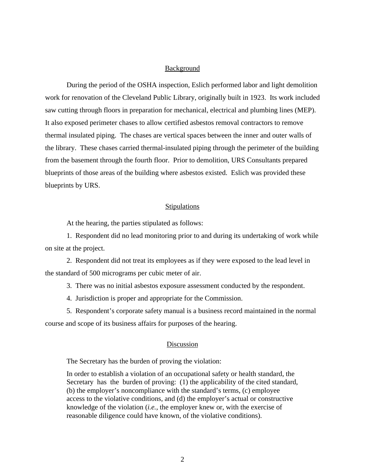### **Background**

During the period of the OSHA inspection, Eslich performed labor and light demolition work for renovation of the Cleveland Public Library, originally built in 1923. Its work included saw cutting through floors in preparation for mechanical, electrical and plumbing lines (MEP). It also exposed perimeter chases to allow certified asbestos removal contractors to remove thermal insulated piping. The chases are vertical spaces between the inner and outer walls of the library. These chases carried thermal-insulated piping through the perimeter of the building from the basement through the fourth floor. Prior to demolition, URS Consultants prepared blueprints of those areas of the building where asbestos existed. Eslich was provided these blueprints by URS.

#### **Stipulations**

At the hearing, the parties stipulated as follows:

1. Respondent did no lead monitoring prior to and during its undertaking of work while on site at the project.

2. Respondent did not treat its employees as if they were exposed to the lead level in the standard of 500 micrograms per cubic meter of air.

3. There was no initial asbestos exposure assessment conducted by the respondent.

4. Jurisdiction is proper and appropriate for the Commission.

5. Respondent's corporate safety manual is a business record maintained in the normal course and scope of its business affairs for purposes of the hearing.

#### Discussion

The Secretary has the burden of proving the violation:

In order to establish a violation of an occupational safety or health standard, the Secretary has the burden of proving: (1) the applicability of the cited standard, (b) the employer's noncompliance with the standard's terms, (c) employee access to the violative conditions, and (d) the employer's actual or constructive knowledge of the violation (*i.e.,* the employer knew or, with the exercise of reasonable diligence could have known, of the violative conditions).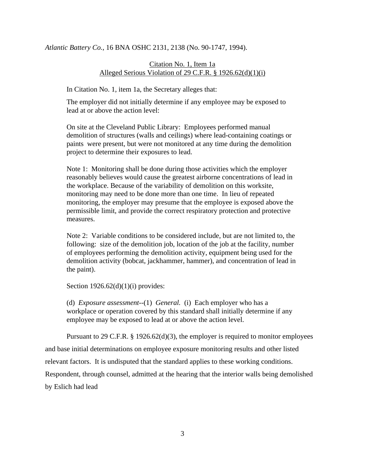### *Atlantic Battery Co.*, 16 BNA OSHC 2131, 2138 (No. 90-1747, 1994).

## Citation No. 1, Item 1a Alleged Serious Violation of 29 C.F.R. § 1926.62(d)(1)(i)

In Citation No. 1, item 1a, the Secretary alleges that:

The employer did not initially determine if any employee may be exposed to lead at or above the action level:

On site at the Cleveland Public Library: Employees performed manual demolition of structures (walls and ceilings) where lead-containing coatings or paints were present, but were not monitored at any time during the demolition project to determine their exposures to lead.

Note 1: Monitoring shall be done during those activities which the employer reasonably believes would cause the greatest airborne concentrations of lead in the workplace. Because of the variability of demolition on this worksite, monitoring may need to be done more than one time. In lieu of repeated monitoring, the employer may presume that the employee is exposed above the permissible limit, and provide the correct respiratory protection and protective measures.

Note 2: Variable conditions to be considered include, but are not limited to, the following: size of the demolition job, location of the job at the facility, number of employees performing the demolition activity, equipment being used for the demolition activity (bobcat, jackhammer, hammer), and concentration of lead in the paint).

Section  $1926.62(d)(1)(i)$  provides:

(d) *Exposure assessment*--(1) *General.* (i) Each employer who has a workplace or operation covered by this standard shall initially determine if any employee may be exposed to lead at or above the action level.

Pursuant to 29 C.F.R. § 1926.62(d)(3), the employer is required to monitor employees and base initial determinations on employee exposure monitoring results and other listed relevant factors. It is undisputed that the standard applies to these working conditions. Respondent, through counsel, admitted at the hearing that the interior walls being demolished by Eslich had lead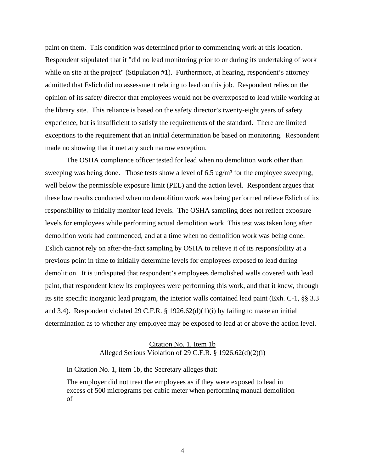paint on them. This condition was determined prior to commencing work at this location. Respondent stipulated that it "did no lead monitoring prior to or during its undertaking of work while on site at the project" (Stipulation #1). Furthermore, at hearing, respondent's attorney admitted that Eslich did no assessment relating to lead on this job. Respondent relies on the opinion of its safety director that employees would not be overexposed to lead while working at the library site. This reliance is based on the safety director's twenty-eight years of safety experience, but is insufficient to satisfy the requirements of the standard. There are limited exceptions to the requirement that an initial determination be based on monitoring. Respondent made no showing that it met any such narrow exception.

The OSHA compliance officer tested for lead when no demolition work other than sweeping was being done. Those tests show a level of 6.5 ug/m<sup>3</sup> for the employee sweeping, well below the permissible exposure limit (PEL) and the action level. Respondent argues that these low results conducted when no demolition work was being performed relieve Eslich of its responsibility to initially monitor lead levels. The OSHA sampling does not reflect exposure levels for employees while performing actual demolition work. This test was taken long after demolition work had commenced, and at a time when no demolition work was being done. Eslich cannot rely on after-the-fact sampling by OSHA to relieve it of its responsibility at a previous point in time to initially determine levels for employees exposed to lead during demolition. It is undisputed that respondent's employees demolished walls covered with lead paint, that respondent knew its employees were performing this work, and that it knew, through its site specific inorganic lead program, the interior walls contained lead paint (Exh. C-1, §§ 3.3 and 3.4). Respondent violated 29 C.F.R.  $\S$  1926.62(d)(1)(i) by failing to make an initial determination as to whether any employee may be exposed to lead at or above the action level.

### Citation No. 1, Item 1b Alleged Serious Violation of 29 C.F.R. § 1926.62(d)(2)(i)

In Citation No. 1, item 1b, the Secretary alleges that:

The employer did not treat the employees as if they were exposed to lead in excess of 500 micrograms per cubic meter when performing manual demolition of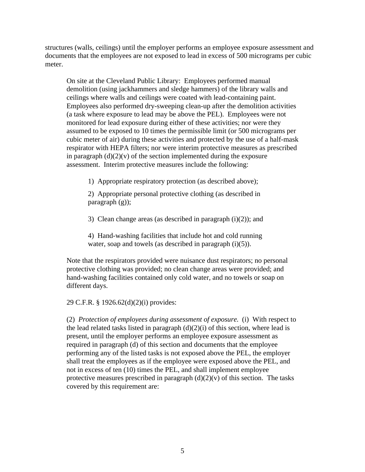structures (walls, ceilings) until the employer performs an employee exposure assessment and documents that the employees are not exposed to lead in excess of 500 micrograms per cubic meter.

On site at the Cleveland Public Library: Employees performed manual demolition (using jackhammers and sledge hammers) of the library walls and ceilings where walls and ceilings were coated with lead-containing paint. Employees also performed dry-sweeping clean-up after the demolition activities (a task where exposure to lead may be above the PEL). Employees were not monitored for lead exposure during either of these activities; nor were they assumed to be exposed to 10 times the permissible limit (or 500 micrograms per cubic meter of air) during these activities and protected by the use of a half-mask respirator with HEPA filters; nor were interim protective measures as prescribed in paragraph  $(d)(2)(v)$  of the section implemented during the exposure assessment. Interim protective measures include the following:

1) Appropriate respiratory protection (as described above);

2) Appropriate personal protective clothing (as described in paragraph (g));

3) Clean change areas (as described in paragraph  $(i)(2)$ ); and

4) Hand-washing facilities that include hot and cold running water, soap and towels (as described in paragraph  $(i)(5)$ ).

Note that the respirators provided were nuisance dust respirators; no personal protective clothing was provided; no clean change areas were provided; and hand-washing facilities contained only cold water, and no towels or soap on different days.

29 C.F.R. § 1926.62(d)(2)(i) provides:

(2) *Protection of employees during assessment of exposure*. (i) With respect to the lead related tasks listed in paragraph  $(d)(2)(i)$  of this section, where lead is present, until the employer performs an employee exposure assessment as required in paragraph (d) of this section and documents that the employee performing any of the listed tasks is not exposed above the PEL, the employer shall treat the employees as if the employee were exposed above the PEL, and not in excess of ten (10) times the PEL, and shall implement employee protective measures prescribed in paragraph  $(d)(2)(v)$  of this section. The tasks covered by this requirement are: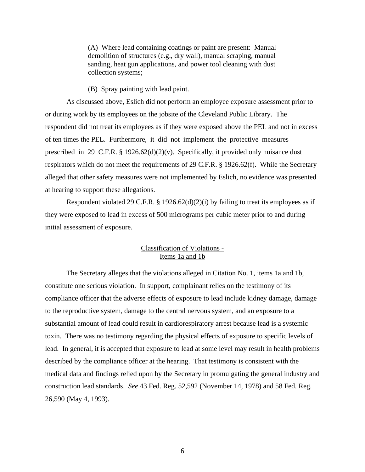(A) Where lead containing coatings or paint are present: Manual demolition of structures (e.g., dry wall), manual scraping, manual sanding, heat gun applications, and power tool cleaning with dust collection systems;

(B) Spray painting with lead paint.

As discussed above, Eslich did not perform an employee exposure assessment prior to or during work by its employees on the jobsite of the Cleveland Public Library. The respondent did not treat its employees as if they were exposed above the PEL and not in excess of ten times the PEL. Furthermore, it did not implement the protective measures prescribed in 29 C.F.R. § 1926.62(d)(2)(v). Specifically, it provided only nuisance dust respirators which do not meet the requirements of 29 C.F.R. § 1926.62(f). While the Secretary alleged that other safety measures were not implemented by Eslich, no evidence was presented at hearing to support these allegations.

Respondent violated 29 C.F.R. § 1926.62(d)(2)(i) by failing to treat its employees as if they were exposed to lead in excess of 500 micrograms per cubic meter prior to and during initial assessment of exposure.

## Classification of Violations - Items 1a and 1b

The Secretary alleges that the violations alleged in Citation No. 1, items 1a and 1b, constitute one serious violation. In support, complainant relies on the testimony of its compliance officer that the adverse effects of exposure to lead include kidney damage, damage to the reproductive system, damage to the central nervous system, and an exposure to a substantial amount of lead could result in cardiorespiratory arrest because lead is a systemic toxin. There was no testimony regarding the physical effects of exposure to specific levels of lead. In general, it is accepted that exposure to lead at some level may result in health problems described by the compliance officer at the hearing. That testimony is consistent with the medical data and findings relied upon by the Secretary in promulgating the general industry and construction lead standards. *See* 43 Fed. Reg. 52,592 (November 14, 1978) and 58 Fed. Reg. 26,590 (May 4, 1993).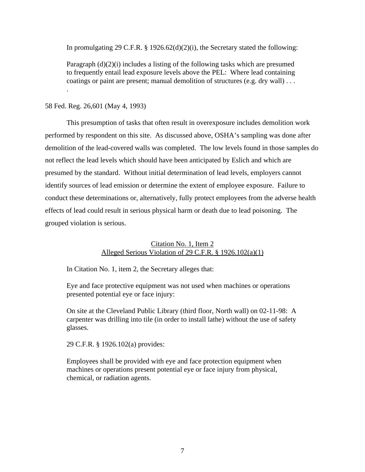In promulgating 29 C.F.R.  $\S$  1926.62(d)(2)(i), the Secretary stated the following:

Paragraph  $(d)(2)(i)$  includes a listing of the following tasks which are presumed to frequently entail lead exposure levels above the PEL: Where lead containing coatings or paint are present; manual demolition of structures (e.g. dry wall) . . .

## 58 Fed. Reg. 26,601 (May 4, 1993)

.

This presumption of tasks that often result in overexposure includes demolition work performed by respondent on this site. As discussed above, OSHA's sampling was done after demolition of the lead-covered walls was completed. The low levels found in those samples do not reflect the lead levels which should have been anticipated by Eslich and which are presumed by the standard. Without initial determination of lead levels, employers cannot identify sources of lead emission or determine the extent of employee exposure. Failure to conduct these determinations or, alternatively, fully protect employees from the adverse health effects of lead could result in serious physical harm or death due to lead poisoning. The grouped violation is serious.

## Citation No. 1, Item 2 Alleged Serious Violation of 29 C.F.R. § 1926.102(a)(1)

In Citation No. 1, item 2, the Secretary alleges that:

Eye and face protective equipment was not used when machines or operations presented potential eye or face injury:

On site at the Cleveland Public Library (third floor, North wall) on 02-11-98: A carpenter was drilling into tile (in order to install lathe) without the use of safety glasses.

29 C.F.R. § 1926.102(a) provides:

Employees shall be provided with eye and face protection equipment when machines or operations present potential eye or face injury from physical, chemical, or radiation agents.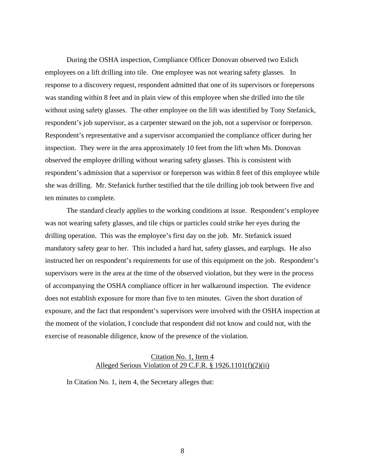During the OSHA inspection, Compliance Officer Donovan observed two Eslich employees on a lift drilling into tile. One employee was not wearing safety glasses. In response to a discovery request, respondent admitted that one of its supervisors or forepersons was standing within 8 feet and in plain view of this employee when she drilled into the tile without using safety glasses. The other employee on the lift was identified by Tony Stefanick, respondent's job supervisor, as a carpenter steward on the job, not a supervisor or foreperson. Respondent's representative and a supervisor accompanied the compliance officer during her inspection. They were in the area approximately 10 feet from the lift when Ms. Donovan observed the employee drilling without wearing safety glasses. This is consistent with respondent's admission that a supervisor or foreperson was within 8 feet of this employee while she was drilling. Mr. Stefanick further testified that the tile drilling job took between five and ten minutes to complete.

The standard clearly applies to the working conditions at issue. Respondent's employee was not wearing safety glasses, and tile chips or particles could strike her eyes during the drilling operation. This was the employee's first day on the job. Mr. Stefanick issued mandatory safety gear to her. This included a hard hat, safety glasses, and earplugs. He also instructed her on respondent's requirements for use of this equipment on the job. Respondent's supervisors were in the area at the time of the observed violation, but they were in the process of accompanying the OSHA compliance officer in her walkaround inspection. The evidence does not establish exposure for more than five to ten minutes. Given the short duration of exposure, and the fact that respondent's supervisors were involved with the OSHA inspection at the moment of the violation, I conclude that respondent did not know and could not, with the exercise of reasonable diligence, know of the presence of the violation.

## Citation No. 1, Item 4 Alleged Serious Violation of 29 C.F.R. § 1926.1101(f)(2)(ii)

In Citation No. 1, item 4, the Secretary alleges that: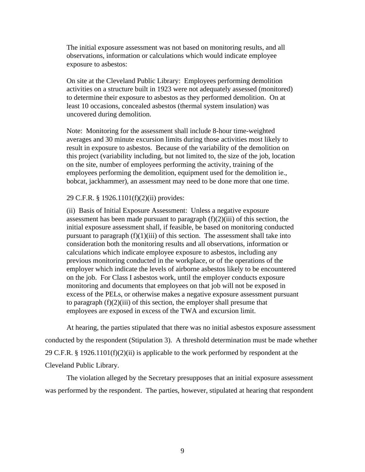The initial exposure assessment was not based on monitoring results, and all observations, information or calculations which would indicate employee exposure to asbestos:

On site at the Cleveland Public Library: Employees performing demolition activities on a structure built in 1923 were not adequately assessed (monitored) to determine their exposure to asbestos as they performed demolition. On at least 10 occasions, concealed asbestos (thermal system insulation) was uncovered during demolition.

Note: Monitoring for the assessment shall include 8-hour time-weighted averages and 30 minute excursion limits during those activities most likely to result in exposure to asbestos. Because of the variability of the demolition on this project (variability including, but not limited to, the size of the job, location on the site, number of employees performing the activity, training of the employees performing the demolition, equipment used for the demolition ie., bobcat, jackhammer), an assessment may need to be done more that one time.

### 29 C.F.R. § 1926.1101(f)(2)(ii) provides:

(ii) Basis of Initial Exposure Assessment: Unless a negative exposure assessment has been made pursuant to paragraph  $(f)(2)(iii)$  of this section, the initial exposure assessment shall, if feasible, be based on monitoring conducted pursuant to paragraph  $(f)(1)(iii)$  of this section. The assessment shall take into consideration both the monitoring results and all observations, information or calculations which indicate employee exposure to asbestos, including any previous monitoring conducted in the workplace, or of the operations of the employer which indicate the levels of airborne asbestos likely to be encountered on the job. For Class I asbestos work, until the employer conducts exposure monitoring and documents that employees on that job will not be exposed in excess of the PELs, or otherwise makes a negative exposure assessment pursuant to paragraph  $(f)(2)(iii)$  of this section, the employer shall presume that employees are exposed in excess of the TWA and excursion limit.

At hearing, the parties stipulated that there was no initial asbestos exposure assessment conducted by the respondent (Stipulation 3). A threshold determination must be made whether 29 C.F.R. § 1926.1101(f)(2)(ii) is applicable to the work performed by respondent at the Cleveland Public Library.

The violation alleged by the Secretary presupposes that an initial exposure assessment was performed by the respondent. The parties, however, stipulated at hearing that respondent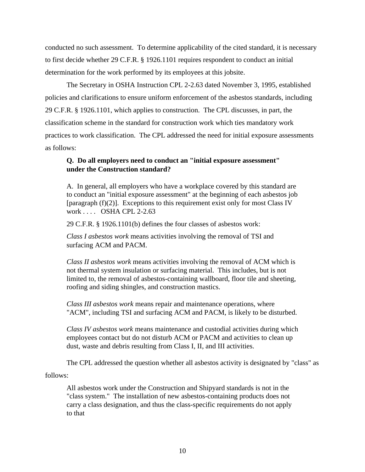conducted no such assessment. To determine applicability of the cited standard, it is necessary to first decide whether 29 C.F.R. § 1926.1101 requires respondent to conduct an initial determination for the work performed by its employees at this jobsite.

The Secretary in OSHA Instruction CPL 2-2.63 dated November 3, 1995, established policies and clarifications to ensure uniform enforcement of the asbestos standards, including 29 C.F.R. § 1926.1101, which applies to construction. The CPL discusses, in part, the classification scheme in the standard for construction work which ties mandatory work practices to work classification. The CPL addressed the need for initial exposure assessments as follows:

# **Q. Do all employers need to conduct an "initial exposure assessment" under the Construction standard?**

A. In general, all employers who have a workplace covered by this standard are to conduct an "initial exposure assessment" at the beginning of each asbestos job [paragraph  $(f)(2)$ ]. Exceptions to this requirement exist only for most Class IV work . . . . OSHA CPL 2-2.63

29 C.F.R. § 1926.1101(b) defines the four classes of asbestos work:

*Class I asbestos work* means activities involving the removal of TSI and surfacing ACM and PACM.

*Class II asbestos work* means activities involving the removal of ACM which is not thermal system insulation or surfacing material. This includes, but is not limited to, the removal of asbestos-containing wallboard, floor tile and sheeting, roofing and siding shingles, and construction mastics.

*Class III asbestos work* means repair and maintenance operations, where "ACM", including TSI and surfacing ACM and PACM, is likely to be disturbed.

*Class IV asbestos work* means maintenance and custodial activities during which employees contact but do not disturb ACM or PACM and activities to clean up dust, waste and debris resulting from Class I, II, and III activities.

The CPL addressed the question whether all asbestos activity is designated by "class" as

follows:

All asbestos work under the Construction and Shipyard standards is not in the "class system." The installation of new asbestos-containing products does not carry a class designation, and thus the class-specific requirements do not apply to that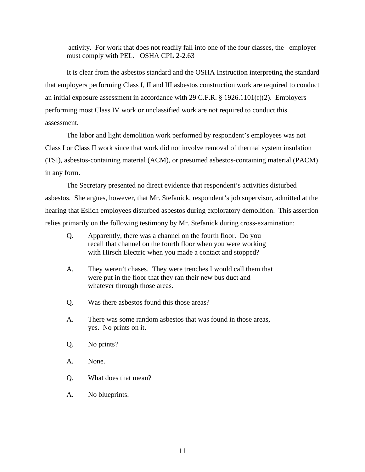activity. For work that does not readily fall into one of the four classes, the employer must comply with PEL. OSHA CPL 2-2.63

It is clear from the asbestos standard and the OSHA Instruction interpreting the standard that employers performing Class I, II and III asbestos construction work are required to conduct an initial exposure assessment in accordance with 29 C.F.R. § 1926.1101(f)(2). Employers performing most Class IV work or unclassified work are not required to conduct this assessment.

The labor and light demolition work performed by respondent's employees was not Class I or Class II work since that work did not involve removal of thermal system insulation (TSI), asbestos-containing material (ACM), or presumed asbestos-containing material (PACM) in any form.

The Secretary presented no direct evidence that respondent's activities disturbed asbestos. She argues, however, that Mr. Stefanick, respondent's job supervisor, admitted at the hearing that Eslich employees disturbed asbestos during exploratory demolition. This assertion relies primarily on the following testimony by Mr. Stefanick during cross-examination:

- Q. Apparently, there was a channel on the fourth floor. Do you recall that channel on the fourth floor when you were working with Hirsch Electric when you made a contact and stopped?
- A. They weren't chases. They were trenches I would call them that were put in the floor that they ran their new bus duct and whatever through those areas.
- Q. Was there asbestos found this those areas?
- A. There was some random asbestos that was found in those areas, yes. No prints on it.
- Q. No prints?
- A. None.
- Q. What does that mean?
- A. No blueprints.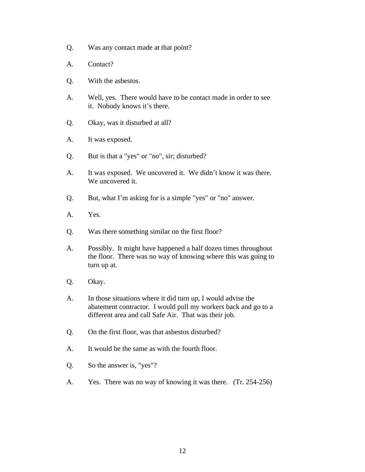- Q. Was any contact made at that point?
- A. Contact?
- Q. With the asbestos.
- A. Well, yes. There would have to be contact made in order to see it. Nobody knows it's there.
- Q. Okay, was it disturbed at all?
- A. It was exposed.
- Q. But is that a "yes" or "no", sir; disturbed?
- A. It was exposed. We uncovered it. We didn't know it was there. We uncovered it.
- Q. But, what I'm asking for is a simple "yes" or "no" answer.
- A. Yes.
- Q. Was there something similar on the first floor?
- A. Possibly. It might have happened a half dozen times throughout the floor. There was no way of knowing where this was going to turn up at.
- Q. Okay.
- A. In those situations where it did turn up, I would advise the abatement contractor. I would pull my workers back and go to a different area and call Safe Air. That was their job.
- Q. On the first floor, was that asbestos disturbed?
- A. It would be the same as with the fourth floor.
- Q. So the answer is, "yes"?
- A. Yes. There was no way of knowing it was there. (Tr. 254-256)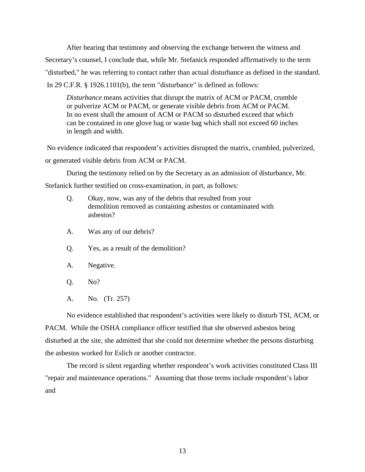After hearing that testimony and observing the exchange between the witness and Secretary's counsel, I conclude that, while Mr. Stefanick responded affirmatively to the term "disturbed," he was referring to contact rather than actual disturbance as defined in the standard. In 29 C.F.R. § 1926.1101(b), the term "disturbance" is defined as follows:

*Disturbance* means activities that disrupt the matrix of ACM or PACM, crumble or pulverize ACM or PACM, or generate visible debris from ACM or PACM. In no event shall the amount of ACM or PACM so disturbed exceed that which can be contained in one glove bag or waste bag which shall not exceed 60 inches in length and width.

 No evidence indicated that respondent's activities disrupted the matrix, crumbled, pulverized, or generated visible debris from ACM or PACM.

During the testimony relied on by the Secretary as an admission of disturbance, Mr.

Stefanick further testified on cross-examination, in part, as follows:

- Q. Okay, now, was any of the debris that resulted from your demolition removed as containing asbestos or contaminated with asbestos?
- A. Was any of our debris?
- Q. Yes, as a result of the demolition?
- A. Negative.
- Q. No?
- A. No. (Tr. 257)

No evidence established that respondent's activities were likely to disturb TSI, ACM, or PACM. While the OSHA compliance officer testified that she observed asbestos being disturbed at the site, she admitted that she could not determine whether the persons disturbing the asbestos worked for Eslich or another contractor.

The record is silent regarding whether respondent's work activities constituted Class III "repair and maintenance operations." Assuming that those terms include respondent's labor and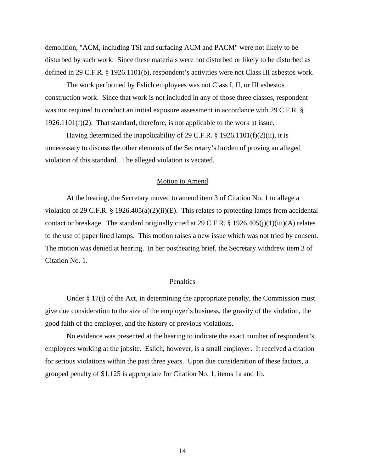demolition, "ACM, including TSI and surfacing ACM and PACM" were not likely to be disturbed by such work. Since these materials were not disturbed or likely to be disturbed as defined in 29 C.F.R. § 1926.1101(b), respondent's activities were not Class III asbestos work.

The work performed by Eslich employees was not Class I, II, or III asbestos construction work. Since that work is not included in any of those three classes, respondent was not required to conduct an initial exposure assessment in accordance with 29 C.F.R. §  $1926.1101(f)(2)$ . That standard, therefore, is not applicable to the work at issue.

Having determined the inapplicability of 29 C.F.R. § 1926.1101(f)(2)(ii), it is unnecessary to discuss the other elements of the Secretary's burden of proving an alleged violation of this standard. The alleged violation is vacated.

### Motion to Amend

At the hearing, the Secretary moved to amend item 3 of Citation No. 1 to allege a violation of 29 C.F.R. § 1926.405(a)(2)(ii)(E). This relates to protecting lamps from accidental contact or breakage. The standard originally cited at 29 C.F.R. § 1926.405(j)(1)(iii)(A) relates to the use of paper lined lamps. This motion raises a new issue which was not tried by consent. The motion was denied at hearing. In her posthearing brief, the Secretary withdrew item 3 of Citation No. 1.

### Penalties

Under  $\S 17(i)$  of the Act, in determining the appropriate penalty, the Commission must give due consideration to the size of the employer's business, the gravity of the violation, the good faith of the employer, and the history of previous violations.

No evidence was presented at the hearing to indicate the exact number of respondent's employees working at the jobsite. Eslich, however, is a small employer. It received a citation for serious violations within the past three years. Upon due consideration of these factors, a grouped penalty of \$1,125 is appropriate for Citation No. 1, items 1a and 1b.